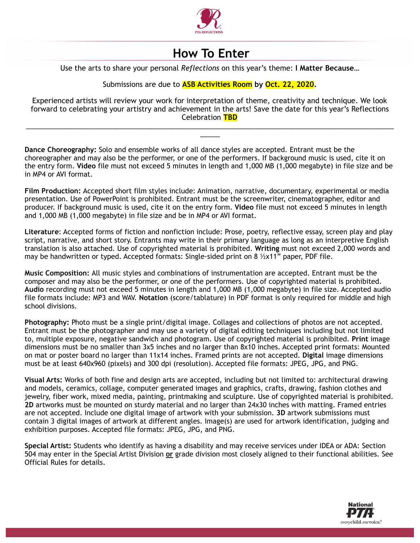

## **How To Enter**

Use the arts to share your personal *Reflections* on this year's theme: **I Matter Because…**

## Submissions are due to **ASB Activities Room by Oct. 22, 2020.**

Experienced artists will review your work for interpretation of theme, creativity and technique. We look forward to celebrating your artistry and achievement in the arts! Save the date for this year's Reflections Celebration **TBD**

\_\_\_\_\_\_\_\_\_\_\_\_\_\_\_\_\_\_\_\_\_\_\_\_\_\_\_\_\_\_\_\_\_\_\_\_\_\_\_\_\_\_\_\_\_\_\_\_\_\_\_\_\_\_\_\_\_\_\_\_\_\_\_\_\_\_\_\_\_\_\_\_\_\_\_\_\_\_\_\_\_\_\_\_\_\_\_\_\_\_\_\_\_ \_\_\_\_\_

**Dance Choreography:** Solo and ensemble works of all dance styles are accepted. Entrant must be the choreographer and may also be the performer, or one of the performers. If background music is used, cite it on the entry form. **Video** file must not exceed 5 minutes in length and 1,000 MB (1,000 megabyte) in file size and be in MP4 or AVI format.

**Film Production:** Accepted short film styles include: Animation, narrative, documentary, experimental or media presentation. Use of PowerPoint is prohibited. Entrant must be the screenwriter, cinematographer, editor and producer. If background music is used, cite it on the entry form. **Video** file must not exceed 5 minutes in length and 1,000 MB (1,000 megabyte) in file size and be in MP4 or AVI format.

**Literature**: Accepted forms of fiction and nonfiction include: Prose, poetry, reflective essay, screen play and play script, narrative, and short story. Entrants may write in their primary language as long as an interpretive English translation is also attached. Use of copyrighted material is prohibited. **Writing** must not exceed 2,000 words and may be handwritten or typed. Accepted formats: Single-sided print on 8 ½x11" paper, PDF file.

**Music Composition:** All music styles and combinations of instrumentation are accepted. Entrant must be the composer and may also be the performer, or one of the performers. Use of copyrighted material is prohibited. **Audio** recording must not exceed 5 minutes in length and 1,000 MB (1,000 megabyte) in file size. Accepted audio file formats include: MP3 and WAV. **Notation** (score/tablature) in PDF format is only required for middle and high school divisions.

**Photography:** Photo must be a single print/digital image. Collages and collections of photos are not accepted. Entrant must be the photographer and may use a variety of digital editing techniques including but not limited to, multiple exposure, negative sandwich and photogram. Use of copyrighted material is prohibited. **Print** image dimensions must be no smaller than 3x5 inches and no larger than 8x10 inches. Accepted print formats: Mounted on mat or poster board no larger than 11x14 inches. Framed prints are not accepted. **Digital** image dimensions must be at least 640x960 (pixels) and 300 dpi (resolution). Accepted file formats: JPEG, JPG, and PNG.

**Visual Arts:** Works of both fine and design arts are accepted, including but not limited to: architectural drawing and models, ceramics, collage, computer generated images and graphics, crafts, drawing, fashion clothes and jewelry, fiber work, mixed media, painting, printmaking and sculpture. Use of copyrighted material is prohibited. **2D** artworks must be mounted on sturdy material and no larger than 24x30 inches with matting. Framed entries are not accepted. Include one digital image of artwork with your submission. **3D** artwork submissions must contain 3 digital images of artwork at different angles. Image(s) are used for artwork identification, judging and exhibition purposes. Accepted file formats: JPEG, JPG, and PNG.

**Special Artist:** Students who identify as having a disability and may receive services under IDEA or ADA: Section 504 may enter in the Special Artist Division **or** grade division most closely aligned to their functional abilities. See Official Rules for details.

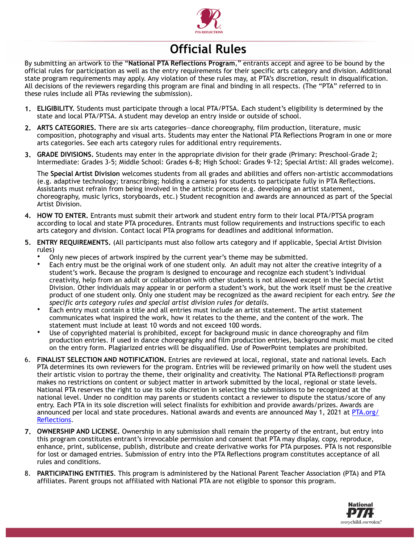

## **Official Rules**

By submitting an artwork to the "**National PTA Reflections Program**," entrants accept and agree to be bound by the official rules for participation as well as the entry requirements for their specific arts category and division. Additional state program requirements may apply. Any violation of these rules may, at PTA's discretion, result in disqualification. All decisions of the reviewers regarding this program are final and binding in all respects. (The "PTA" referred to in these rules include all PTAs reviewing the submission).

- **1. ELIGIBILITY.** Students must participate through a local PTA/PTSA. Each student's eligibility is determined by the state and local PTA/PTSA. A student may develop an entry inside or outside of school.
- **2. ARTS CATEGORIES.** There are six arts categories—dance choreography, film production, literature, music composition, photography and visual arts. Students may enter the National PTA Reflections Program in one or more arts categories. See each arts category rules for additional entry requirements.
- **3. GRADE DIVISIONS.** Students may enter in the appropriate division for their grade (Primary: Preschool-Grade 2; Intermediate: Grades 3-5; Middle School: Grades 6-8; High School: Grades 9-12; Special Artist: All grades welcome).

The **Special Artist Division** welcomes students from all grades and abilities and offers non-artistic accommodations (e.g. adaptive technology; transcribing; holding a camera) for students to participate fully in PTA Reflections. Assistants must refrain from being involved in the artistic process (e.g. developing an artist statement, choreography, music lyrics, storyboards, etc.) Student recognition and awards are announced as part of the Special Artist Division.

- **4. HOW TO ENTER.** Entrants must submit their artwork and student entry form to their local PTA/PTSA program according to local and state PTA procedures. Entrants must follow requirements and instructions specific to each arts category and division. Contact local PTA programs for deadlines and additional information.
- **5. ENTRY REQUIREMENTS.** (All participants must also follow arts category and if applicable, Special Artist Division rules)
	- Only new pieces of artwork inspired by the current year's theme may be submitted.
	- Each entry must be the original work of one student only. An adult may not alter the creative integrity of a student's work. Because the program is designed to encourage and recognize each student's individual creativity, help from an adult or collaboration with other students is not allowed except in the Special Artist Division. Other individuals may appear in or perform a student's work, but the work itself must be the creative product of one student only. Only one student may be recognized as the award recipient for each entry. *See the specific arts category rules and special artist division rules for details.*
	- Each entry must contain a title and all entries must include an artist statement. The artist statement communicates what inspired the work, how it relates to the theme, and the content of the work. The statement must include at least 10 words and not exceed 100 words.
	- Use of copyrighted material is prohibited, except for background music in dance choreography and film production entries. If used in dance choreography and film production entries, background music must be cited on the entry form. Plagiarized entries will be disqualified. Use of PowerPoint templates are prohibited.
- 6. **FINALIST SELECTION AND NOTIFICATION.** Entries are reviewed at local, regional, state and national levels. Each PTA determines its own reviewers for the program. Entries will be reviewed primarily on how well the student uses their artistic vision to portray the theme, their originality and creativity. The National PTA Reflections® program makes no restrictions on content or subject matter in artwork submitted by the local, regional or state levels. National PTA reserves the right to use its sole discretion in selecting the submissions to be recognized at the national level. Under no condition may parents or students contact a reviewer to dispute the status/score of any entry. Each PTA in its sole discretion will select finalists for exhibition and provide awards/prizes. Awards are announced per local and state procedures. National awards and events are announced May 1, 2021 at PTA.org/ Reflections.
- **7. OWNERSHIP AND LICENSE.** Ownership in any submission shall remain the property of the entrant, but entry into this program constitutes entrant's irrevocable permission and consent that PTA may display, copy, reproduce, enhance, print, sublicense, publish, distribute and create derivative works for PTA purposes. PTA is not responsible for lost or damaged entries. Submission of entry into the PTA Reflections program constitutes acceptance of all rules and conditions.
- 8. **PARTICIPATING ENTITIES**. This program is administered by the National Parent Teacher Association (PTA) and PTA affiliates. Parent groups not affiliated with National PTA are not eligible to sponsor this program.